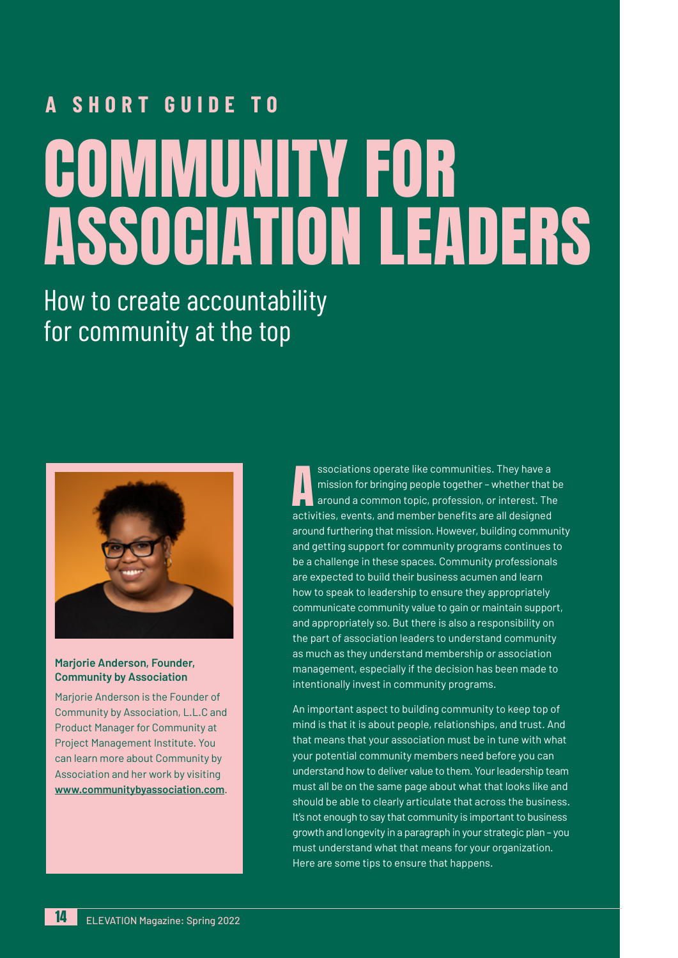# **A SHORT GUIDE TO** COMMUNITY FOR ASSOCIATION LEADERS

How to create accountability for community at the top



#### **Marjorie Anderson, Founder, Community by Association**

Marjorie Anderson is the Founder of Community by Association, L.L.C and Product Manager for Community at Project Management Institute. You can learn more about Community by Association and her work by visiting **www.communitybyassociation.com**.

ssociations operate like communities. They have a<br>mission for bringing people together – whether that<br>activities, events, and member benefits are all designed ssociations operate like communities. They have a mission for bringing people together – whether that be around a common topic, profession, or interest. The around furthering that mission. However, building community and getting support for community programs continues to be a challenge in these spaces. Community professionals are expected to build their business acumen and learn how to speak to leadership to ensure they appropriately communicate community value to gain or maintain support, and appropriately so. But there is also a responsibility on the part of association leaders to understand community as much as they understand membership or association management, especially if the decision has been made to intentionally invest in community programs.

An important aspect to building community to keep top of mind is that it is about people, relationships, and trust. And that means that your association must be in tune with what your potential community members need before you can understand how to deliver value to them. Your leadership team must all be on the same page about what that looks like and should be able to clearly articulate that across the business. It's not enough to say that community is important to business growth and longevity in a paragraph in your strategic plan – you must understand what that means for your organization. Here are some tips to ensure that happens.